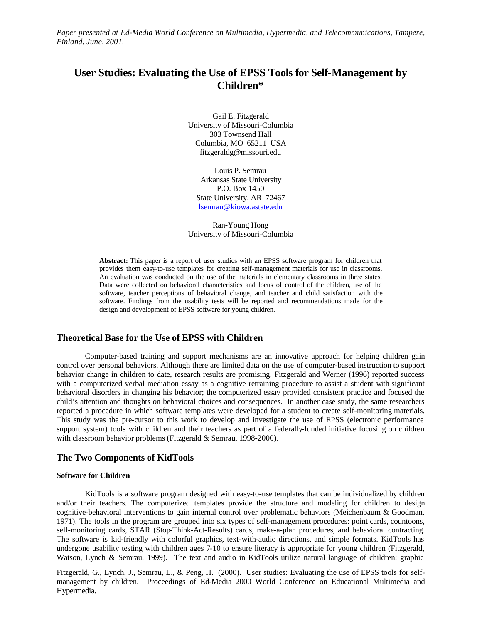*Paper presented at Ed-Media World Conference on Multimedia, Hypermedia, and Telecommunications, Tampere, Finland, June, 2001.*

# **User Studies: Evaluating the Use of EPSS Tools for Self-Management by Children\***

Gail E. Fitzgerald University of Missouri-Columbia 303 Townsend Hall Columbia, MO 65211 USA fitzgeraldg@missouri.edu

Louis P. Semrau Arkansas State University P.O. Box 1450 State University, AR 72467 lsemrau@kiowa.astate.edu

Ran-Young Hong University of Missouri-Columbia

**Abstract:** This paper is a report of user studies with an EPSS software program for children that provides them easy-to-use templates for creating self-management materials for use in classrooms. An evaluation was conducted on the use of the materials in elementary classrooms in three states. Data were collected on behavioral characteristics and locus of control of the children, use of the software, teacher perceptions of behavioral change, and teacher and child satisfaction with the software. Findings from the usability tests will be reported and recommendations made for the design and development of EPSS software for young children.

# **Theoretical Base for the Use of EPSS with Children**

Computer-based training and support mechanisms are an innovative approach for helping children gain control over personal behaviors. Although there are limited data on the use of computer-based instruction to support behavior change in children to date, research results are promising. Fitzgerald and Werner (1996) reported success with a computerized verbal mediation essay as a cognitive retraining procedure to assist a student with significant behavioral disorders in changing his behavior; the computerized essay provided consistent practice and focused the child's attention and thoughts on behavioral choices and consequences. In another case study, the same researchers reported a procedure in which software templates were developed for a student to create self-monitoring materials. This study was the pre-cursor to this work to develop and investigate the use of EPSS (electronic performance support system) tools with children and their teachers as part of a federally-funded initiative focusing on children with classroom behavior problems (Fitzgerald & Semrau, 1998-2000).

## **The Two Components of KidTools**

#### **Software for Children**

KidTools is a software program designed with easy-to-use templates that can be individualized by children and/or their teachers. The computerized templates provide the structure and modeling for children to design cognitive-behavioral interventions to gain internal control over problematic behaviors (Meichenbaum & Goodman, 1971). The tools in the program are grouped into six types of self-management procedures: point cards, countoons, self-monitoring cards, STAR (Stop-Think-Act-Results) cards, make-a-plan procedures, and behavioral contracting. The software is kid-friendly with colorful graphics, text-with-audio directions, and simple formats. KidTools has undergone usability testing with children ages 7-10 to ensure literacy is appropriate for young children (Fitzgerald, Watson, Lynch & Semrau, 1999). The text and audio in KidTools utilize natural language of children; graphic

Fitzgerald, G., Lynch, J., Semrau, L., & Peng, H. (2000). User studies: Evaluating the use of EPSS tools for selfmanagement by children. Proceedings of Ed-Media 2000 World Conference on Educational Multimedia and Hypermedia.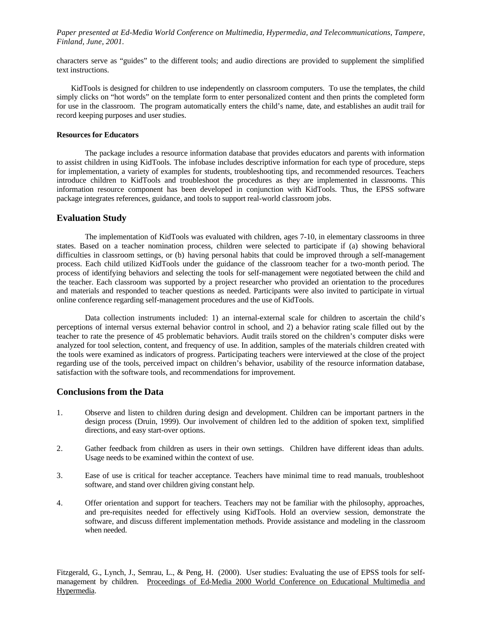*Paper presented at Ed-Media World Conference on Multimedia, Hypermedia, and Telecommunications, Tampere, Finland, June, 2001.*

characters serve as "guides" to the different tools; and audio directions are provided to supplement the simplified text instructions.

KidTools is designed for children to use independently on classroom computers. To use the templates, the child simply clicks on "hot words" on the template form to enter personalized content and then prints the completed form for use in the classroom. The program automatically enters the child's name, date, and establishes an audit trail for record keeping purposes and user studies.

#### **Resources for Educators**

The package includes a resource information database that provides educators and parents with information to assist children in using KidTools. The infobase includes descriptive information for each type of procedure, steps for implementation, a variety of examples for students, troubleshooting tips, and recommended resources. Teachers introduce children to KidTools and troubleshoot the procedures as they are implemented in classrooms. This information resource component has been developed in conjunction with KidTools. Thus, the EPSS software package integrates references, guidance, and tools to support real-world classroom jobs.

## **Evaluation Study**

The implementation of KidTools was evaluated with children, ages 7-10, in elementary classrooms in three states. Based on a teacher nomination process, children were selected to participate if (a) showing behavioral difficulties in classroom settings, or (b) having personal habits that could be improved through a self-management process. Each child utilized KidTools under the guidance of the classroom teacher for a two-month period. The process of identifying behaviors and selecting the tools for self-management were negotiated between the child and the teacher. Each classroom was supported by a project researcher who provided an orientation to the procedures and materials and responded to teacher questions as needed. Participants were also invited to participate in virtual online conference regarding self-management procedures and the use of KidTools.

Data collection instruments included: 1) an internal-external scale for children to ascertain the child's perceptions of internal versus external behavior control in school, and 2) a behavior rating scale filled out by the teacher to rate the presence of 45 problematic behaviors. Audit trails stored on the children's computer disks were analyzed for tool selection, content, and frequency of use. In addition, samples of the materials children created with the tools were examined as indicators of progress. Participating teachers were interviewed at the close of the project regarding use of the tools, perceived impact on children's behavior, usability of the resource information database, satisfaction with the software tools, and recommendations for improvement.

# **Conclusions from the Data**

- 1. Observe and listen to children during design and development. Children can be important partners in the design process (Druin, 1999). Our involvement of children led to the addition of spoken text, simplified directions, and easy start-over options.
- 2. Gather feedback from children as users in their own settings. Children have different ideas than adults. Usage needs to be examined within the context of use.
- 3. Ease of use is critical for teacher acceptance. Teachers have minimal time to read manuals, troubleshoot software, and stand over children giving constant help.
- 4. Offer orientation and support for teachers. Teachers may not be familiar with the philosophy, approaches, and pre-requisites needed for effectively using KidTools. Hold an overview session, demonstrate the software, and discuss different implementation methods. Provide assistance and modeling in the classroom when needed.

Fitzgerald, G., Lynch, J., Semrau, L., & Peng, H. (2000). User studies: Evaluating the use of EPSS tools for selfmanagement by children. Proceedings of Ed-Media 2000 World Conference on Educational Multimedia and Hypermedia.